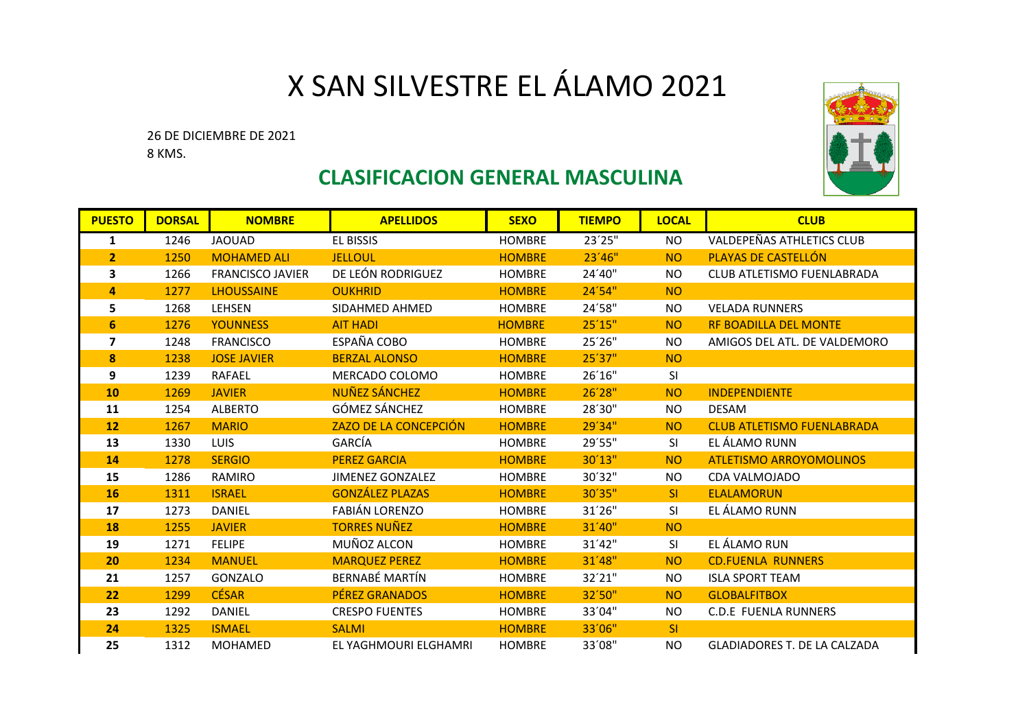## X SAN SILVESTRE EL ÁLAMO 2021

26 DE DICIEMBRE DE 2021 8 KMS.



## **CLASIFICACION GENERAL MASCULINA**

| <b>PUESTO</b>  | <b>DORSAL</b> | <b>NOMBRE</b>           | <b>APELLIDOS</b>        | <b>SEXO</b>   | <b>TIEMPO</b> | <b>LOCAL</b>   | <b>CLUB</b>                         |
|----------------|---------------|-------------------------|-------------------------|---------------|---------------|----------------|-------------------------------------|
| 1              | 1246          | <b>JAOUAD</b>           | EL BISSIS               | <b>HOMBRE</b> | 23'25"        | NO.            | <b>VALDEPEÑAS ATHLETICS CLUB</b>    |
| $\overline{2}$ | 1250          | <b>MOHAMED ALI</b>      | <b>JELLOUL</b>          | <b>HOMBRE</b> | 23'46''       | <b>NO</b>      | PLAYAS DE CASTELLÓN                 |
| 3              | 1266          | <b>FRANCISCO JAVIER</b> | DE LEÓN RODRIGUEZ       | <b>HOMBRE</b> | 24'40"        | <b>NO</b>      | <b>CLUB ATLETISMO FUENLABRADA</b>   |
| 4              | 1277          | <b>LHOUSSAINE</b>       | <b>OUKHRID</b>          | <b>HOMBRE</b> | 24'54"        | N <sub>O</sub> |                                     |
| 5              | 1268          | <b>LEHSEN</b>           | SIDAHMED AHMED          | <b>HOMBRE</b> | 24'58"        | <b>NO</b>      | <b>VELADA RUNNERS</b>               |
| 6              | 1276          | <b>YOUNNESS</b>         | <b>AIT HADI</b>         | <b>HOMBRE</b> | 25'15"        | <b>NO</b>      | <b>RF BOADILLA DEL MONTE</b>        |
| 7              | 1248          | <b>FRANCISCO</b>        | ESPAÑA COBO             | <b>HOMBRE</b> | 25'26"        | <b>NO</b>      | AMIGOS DEL ATL. DE VALDEMORO        |
| 8              | 1238          | <b>JOSE JAVIER</b>      | <b>BERZAL ALONSO</b>    | <b>HOMBRE</b> | 25'37"        | <b>NO</b>      |                                     |
| 9              | 1239          | <b>RAFAEL</b>           | MERCADO COLOMO          | <b>HOMBRE</b> | 26'16"        | SI             |                                     |
| 10             | 1269          | <b>JAVIER</b>           | <b>NUÑEZ SÁNCHEZ</b>    | <b>HOMBRE</b> | 26'28"        | <b>NO</b>      | <b>INDEPENDIENTE</b>                |
| 11             | 1254          | <b>ALBERTO</b>          | GÓMEZ SÁNCHEZ           | <b>HOMBRE</b> | 28'30"        | NO.            | <b>DESAM</b>                        |
| <b>12</b>      | 1267          | <b>MARIO</b>            | ZAZO DE LA CONCEPCIÓN   | <b>HOMBRE</b> | 29'34"        | <b>NO</b>      | <b>CLUB ATLETISMO FUENLABRADA</b>   |
| 13             | 1330          | LUIS.                   | GARCÍA                  | <b>HOMBRE</b> | 29'55"        | SI.            | EL ÁLAMO RUNN                       |
| 14             | 1278          | <b>SERGIO</b>           | <b>PEREZ GARCIA</b>     | <b>HOMBRE</b> | 30'13"        | <b>NO</b>      | <b>ATLETISMO ARROYOMOLINOS</b>      |
| 15             | 1286          | RAMIRO                  | <b>JIMENEZ GONZALEZ</b> | <b>HOMBRE</b> | 30'32"        | <b>NO</b>      | CDA VALMOJADO                       |
| 16             | 1311          | <b>ISRAEL</b>           | <b>GONZÁLEZ PLAZAS</b>  | <b>HOMBRE</b> | 30'35"        | SI             | <b>ELALAMORUN</b>                   |
| 17             | 1273          | DANIEL                  | <b>FABIÁN LORENZO</b>   | <b>HOMBRE</b> | 31'26"        | SI             | EL ÁLAMO RUNN                       |
| 18             | 1255          | <b>JAVIER</b>           | <b>TORRES NUÑEZ</b>     | <b>HOMBRE</b> | 31'40"        | <b>NO</b>      |                                     |
| 19             | 1271          | <b>FELIPE</b>           | MUÑOZ ALCON             | <b>HOMBRE</b> | 31'42"        | SI             | EL ÁLAMO RUN                        |
| 20             | 1234          | <b>MANUEL</b>           | <b>MARQUEZ PEREZ</b>    | <b>HOMBRE</b> | 31'48"        | <b>NO</b>      | <b>CD.FUENLA RUNNERS</b>            |
| 21             | 1257          | GONZALO                 | <b>BERNABÉ MARTÍN</b>   | <b>HOMBRE</b> | 32'21"        | <b>NO</b>      | <b>ISLA SPORT TEAM</b>              |
| 22             | 1299          | <b>CÉSAR</b>            | <b>PÉREZ GRANADOS</b>   | <b>HOMBRE</b> | 32'50"        | <b>NO</b>      | <b>GLOBALFITBOX</b>                 |
| 23             | 1292          | <b>DANIEL</b>           | <b>CRESPO FUENTES</b>   | <b>HOMBRE</b> | 33'04"        | <b>NO</b>      | <b>C.D.E FUENLA RUNNERS</b>         |
| 24             | 1325          | <b>ISMAEL</b>           | <b>SALMI</b>            | <b>HOMBRE</b> | 33'06"        | <b>SI</b>      |                                     |
| 25             | 1312          | <b>MOHAMED</b>          | EL YAGHMOURI ELGHAMRI   | <b>HOMBRE</b> | 33'08"        | NO             | <b>GLADIADORES T. DE LA CALZADA</b> |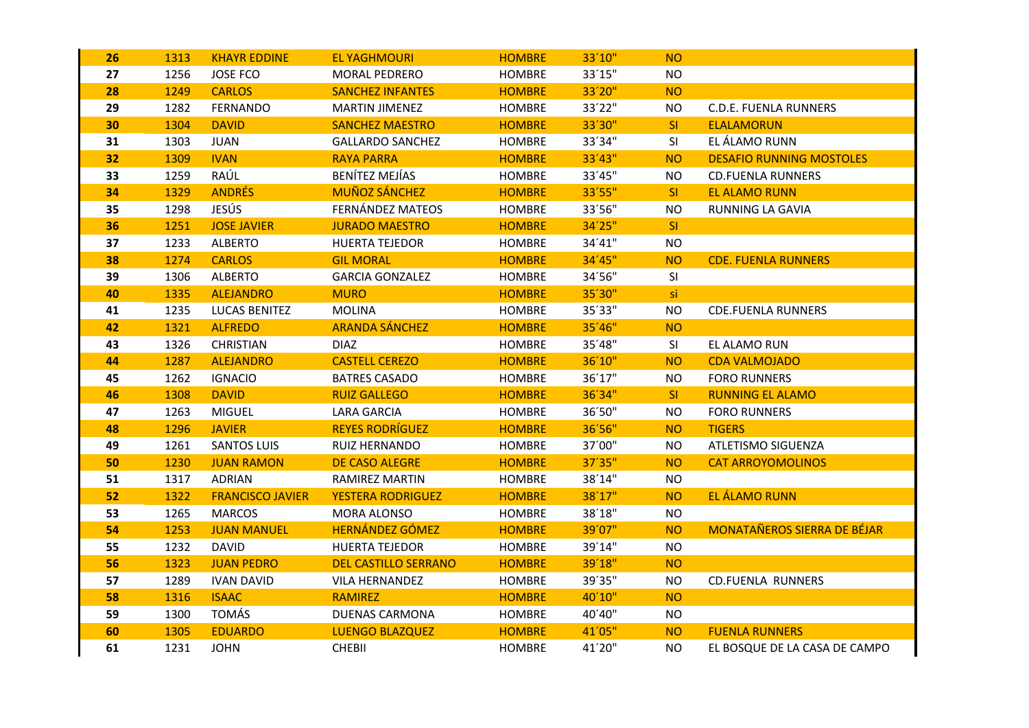| 26 | 1313 | <b>KHAYR EDDINE</b>     | <b>EL YAGHMOURI</b>         | <b>HOMBRE</b> | 33'10" | <b>NO</b> |                                    |
|----|------|-------------------------|-----------------------------|---------------|--------|-----------|------------------------------------|
| 27 | 1256 | <b>JOSE FCO</b>         | MORAL PEDRERO               | <b>HOMBRE</b> | 33'15" | <b>NO</b> |                                    |
| 28 | 1249 | <b>CARLOS</b>           | <b>SANCHEZ INFANTES</b>     | <b>HOMBRE</b> | 33'20" | <b>NO</b> |                                    |
| 29 | 1282 | <b>FERNANDO</b>         | <b>MARTIN JIMENEZ</b>       | <b>HOMBRE</b> | 33'22" | <b>NO</b> | <b>C.D.E. FUENLA RUNNERS</b>       |
| 30 | 1304 | <b>DAVID</b>            | <b>SANCHEZ MAESTRO</b>      | <b>HOMBRE</b> | 33'30" | SI.       | <b>ELALAMORUN</b>                  |
| 31 | 1303 | <b>JUAN</b>             | <b>GALLARDO SANCHEZ</b>     | <b>HOMBRE</b> | 33'34" | SI        | EL ÁLAMO RUNN                      |
| 32 | 1309 | <b>IVAN</b>             | <b>RAYA PARRA</b>           | <b>HOMBRE</b> | 33'43" | <b>NO</b> | <b>DESAFIO RUNNING MOSTOLES</b>    |
| 33 | 1259 | RAÚL                    | <b>BENÍTEZ MEJÍAS</b>       | <b>HOMBRE</b> | 33'45" | <b>NO</b> | <b>CD.FUENLA RUNNERS</b>           |
| 34 | 1329 | <b>ANDRÉS</b>           | <b>MUÑOZ SÁNCHEZ</b>        | <b>HOMBRE</b> | 33'55" | SI.       | <b>EL ALAMO RUNN</b>               |
| 35 | 1298 | JESÚS                   | FERNÁNDEZ MATEOS            | <b>HOMBRE</b> | 33'56" | <b>NO</b> | RUNNING LA GAVIA                   |
| 36 | 1251 | <b>JOSE JAVIER</b>      | <b>JURADO MAESTRO</b>       | <b>HOMBRE</b> | 34'25" | SI        |                                    |
| 37 | 1233 | <b>ALBERTO</b>          | <b>HUERTA TEJEDOR</b>       | <b>HOMBRE</b> | 34'41" | NO        |                                    |
| 38 | 1274 | <b>CARLOS</b>           | <b>GIL MORAL</b>            | <b>HOMBRE</b> | 34'45" | <b>NO</b> | <b>CDE. FUENLA RUNNERS</b>         |
| 39 | 1306 | <b>ALBERTO</b>          | <b>GARCIA GONZALEZ</b>      | <b>HOMBRE</b> | 34'56" | SI        |                                    |
| 40 | 1335 | <b>ALEJANDRO</b>        | <b>MURO</b>                 | <b>HOMBRE</b> | 35'30" | si        |                                    |
| 41 | 1235 | <b>LUCAS BENITEZ</b>    | <b>MOLINA</b>               | <b>HOMBRE</b> | 35'33" | NO        | <b>CDE.FUENLA RUNNERS</b>          |
| 42 | 1321 | <b>ALFREDO</b>          | <b>ARANDA SÁNCHEZ</b>       | <b>HOMBRE</b> | 35'46" | <b>NO</b> |                                    |
| 43 | 1326 | <b>CHRISTIAN</b>        | <b>DIAZ</b>                 | <b>HOMBRE</b> | 35'48" | SI        | EL ALAMO RUN                       |
| 44 | 1287 | <b>ALEJANDRO</b>        | <b>CASTELL CEREZO</b>       | <b>HOMBRE</b> | 36'10" | <b>NO</b> | <b>CDA VALMOJADO</b>               |
| 45 | 1262 | <b>IGNACIO</b>          | <b>BATRES CASADO</b>        | <b>HOMBRE</b> | 36'17" | <b>NO</b> | <b>FORO RUNNERS</b>                |
| 46 | 1308 | <b>DAVID</b>            | <b>RUIZ GALLEGO</b>         | <b>HOMBRE</b> | 36'34" | SI        | <b>RUNNING EL ALAMO</b>            |
| 47 | 1263 | <b>MIGUEL</b>           | <b>LARA GARCIA</b>          | <b>HOMBRE</b> | 36'50" | <b>NO</b> | <b>FORO RUNNERS</b>                |
| 48 | 1296 | <b>JAVIER</b>           | <b>REYES RODRÍGUEZ</b>      | <b>HOMBRE</b> | 36'56" | <b>NO</b> | <b>TIGERS</b>                      |
| 49 | 1261 | <b>SANTOS LUIS</b>      | RUIZ HERNANDO               | <b>HOMBRE</b> | 37'00" | <b>NO</b> | ATLETISMO SIGUENZA                 |
| 50 | 1230 | <b>JUAN RAMON</b>       | <b>DE CASO ALEGRE</b>       | <b>HOMBRE</b> | 37'35" | <b>NO</b> | <b>CAT ARROYOMOLINOS</b>           |
| 51 | 1317 | <b>ADRIAN</b>           | <b>RAMIREZ MARTIN</b>       | <b>HOMBRE</b> | 38'14" | <b>NO</b> |                                    |
| 52 | 1322 | <b>FRANCISCO JAVIER</b> | <b>YESTERA RODRIGUEZ</b>    | <b>HOMBRE</b> | 38'17" | <b>NO</b> | EL ÁLAMO RUNN                      |
| 53 | 1265 | <b>MARCOS</b>           | MORA ALONSO                 | <b>HOMBRE</b> | 38'18" | <b>NO</b> |                                    |
| 54 | 1253 | <b>JUAN MANUEL</b>      | <b>HERNÁNDEZ GÓMEZ</b>      | <b>HOMBRE</b> | 39'07" | <b>NO</b> | <b>MONATAÑEROS SIERRA DE BÉJAR</b> |
| 55 | 1232 | <b>DAVID</b>            | <b>HUERTA TEJEDOR</b>       | <b>HOMBRE</b> | 39'14" | <b>NO</b> |                                    |
| 56 | 1323 | <b>JUAN PEDRO</b>       | <b>DEL CASTILLO SERRANO</b> | <b>HOMBRE</b> | 39'18" | <b>NO</b> |                                    |
| 57 | 1289 | <b>IVAN DAVID</b>       | <b>VILA HERNANDEZ</b>       | <b>HOMBRE</b> | 39'35" | NO.       | <b>CD.FUENLA RUNNERS</b>           |
| 58 | 1316 | <b>ISAAC</b>            | <b>RAMIREZ</b>              | <b>HOMBRE</b> | 40'10" | <b>NO</b> |                                    |
| 59 | 1300 | <b>TOMÁS</b>            | <b>DUENAS CARMONA</b>       | <b>HOMBRE</b> | 40'40" | <b>NO</b> |                                    |
| 60 | 1305 | <b>EDUARDO</b>          | <b>LUENGO BLAZQUEZ</b>      | <b>HOMBRE</b> | 41'05" | <b>NO</b> | <b>FUENLA RUNNERS</b>              |
| 61 | 1231 | <b>JOHN</b>             | <b>CHEBII</b>               | <b>HOMBRE</b> | 41'20" | <b>NO</b> | EL BOSQUE DE LA CASA DE CAMPO      |